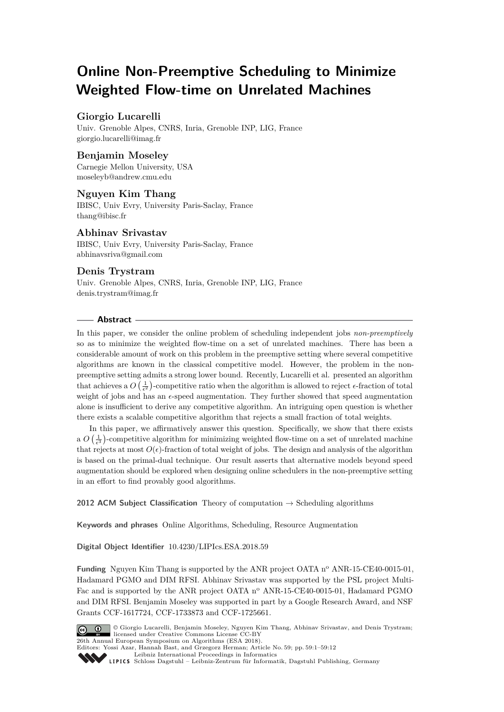# **Online Non-Preemptive Scheduling to Minimize Weighted Flow-time on Unrelated Machines**

# **Giorgio Lucarelli**

Univ. Grenoble Alpes, CNRS, Inria, Grenoble INP, LIG, France [giorgio.lucarelli@imag.fr](mailto:giorgio.lucarelli@imag.fr)

# **Benjamin Moseley**

Carnegie Mellon University, USA [moseleyb@andrew.cmu.edu](mailto:moseleyb@andrew.cmu.edu)

# **Nguyen Kim Thang**

IBISC, Univ Evry, University Paris-Saclay, France [thang@ibisc.fr](mailto:thang@ibisc.fr)

# **Abhinav Srivastav**

IBISC, Univ Evry, University Paris-Saclay, France [abhinavsriva@gmail.com](mailto:abhinavsriva@gmail.com)

## **Denis Trystram**

Univ. Grenoble Alpes, CNRS, Inria, Grenoble INP, LIG, France [denis.trystram@imag.fr](mailto:denis.trystram@imag.fr)

## **Abstract**

In this paper, we consider the online problem of scheduling independent jobs *non-preemptively* so as to minimize the weighted flow-time on a set of unrelated machines. There has been a considerable amount of work on this problem in the preemptive setting where several competitive algorithms are known in the classical competitive model. However, the problem in the nonpreemptive setting admits a strong lower bound. Recently, Lucarelli et al. presented an algorithm that achieves a  $O\left(\frac{1}{\epsilon^2}\right)$ -competitive ratio when the algorithm is allowed to reject  $\epsilon$ -fraction of total weight of jobs and has an  $\epsilon$ -speed augmentation. They further showed that speed augmentation alone is insufficient to derive any competitive algorithm. An intriguing open question is whether there exists a scalable competitive algorithm that rejects a small fraction of total weights.

In this paper, we affirmatively answer this question. Specifically, we show that there exists a  $O\left(\frac{1}{\epsilon^3}\right)$ -competitive algorithm for minimizing weighted flow-time on a set of unrelated machine that rejects at most  $O(\epsilon)$ -fraction of total weight of jobs. The design and analysis of the algorithm is based on the primal-dual technique. Our result asserts that alternative models beyond speed augmentation should be explored when designing online schedulers in the non-preemptive setting in an effort to find provably good algorithms.

**2012 ACM Subject Classification** Theory of computation → Scheduling algorithms

**Keywords and phrases** Online Algorithms, Scheduling, Resource Augmentation

**Digital Object Identifier** [10.4230/LIPIcs.ESA.2018.59](http://dx.doi.org/10.4230/LIPIcs.ESA.2018.59)

**Funding** Nguyen Kim Thang is supported by the ANR project OATA n<sup>o</sup> ANR-15-CE40-0015-01, Hadamard PGMO and DIM RFSI. Abhinav Srivastav was supported by the PSL project Multi-Fac and is supported by the ANR project OATA  $n^{\circ}$  ANR-15-CE40-0015-01, Hadamard PGMO and DIM RFSI. Benjamin Moseley was supported in part by a Google Research Award, and NSF Grants CCF-1617724, CCF-1733873 and CCF-1725661.



© Giorgio Lucarelli, Benjamin Moseley, Nguyen Kim Thang, Abhinav Srivastav, and Denis Trystram; licensed under Creative Commons License CC-BY 26th Annual European Symposium on Algorithms (ESA 2018).

Editors: Yossi Azar, Hannah Bast, and Grzegorz Herman; Article No. 59; pp. 59:1–59[:12](#page-11-0)

[Leibniz International Proceedings in Informatics](http://www.dagstuhl.de/lipics/)

Leibniz International Froceedings in miormatics<br>
LIPICS [Schloss Dagstuhl – Leibniz-Zentrum für Informatik, Dagstuhl Publishing, Germany](http://www.dagstuhl.de)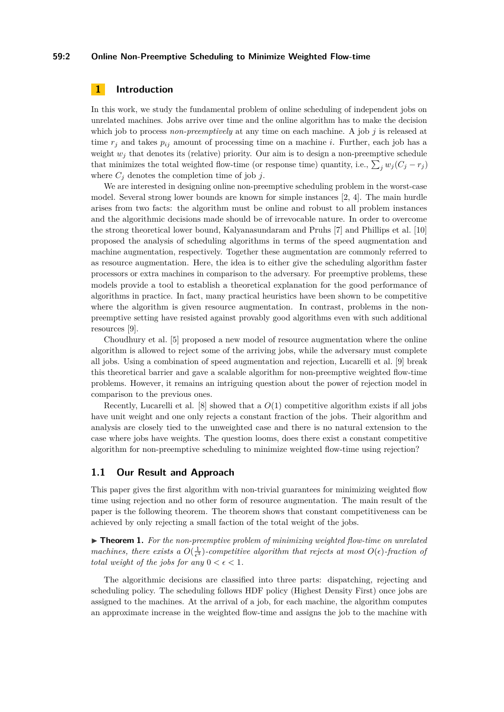#### **59:2 Online Non-Preemptive Scheduling to Minimize Weighted Flow-time**

# **1 Introduction**

In this work, we study the fundamental problem of online scheduling of independent jobs on unrelated machines. Jobs arrive over time and the online algorithm has to make the decision which job to process *non-preemptively* at any time on each machine. A job *j* is released at time  $r_i$  and takes  $p_{ij}$  amount of processing time on a machine *i*. Further, each job has a weight  $w_j$  that denotes its (relative) priority. Our aim is to design a non-preemptive schedule that minimizes the total weighted flow-time (or response time) quantity, i.e.,  $\sum_j w_j (C_j - r_j)$ where  $C_j$  denotes the completion time of job  $j$ .

We are interested in designing online non-preemptive scheduling problem in the worst-case model. Several strong lower bounds are known for simple instances [\[2,](#page-11-1) [4\]](#page-11-2). The main hurdle arises from two facts: the algorithm must be online and robust to all problem instances and the algorithmic decisions made should be of irrevocable nature. In order to overcome the strong theoretical lower bound, Kalyanasundaram and Pruhs [\[7\]](#page-11-3) and Phillips et al. [\[10\]](#page-11-4) proposed the analysis of scheduling algorithms in terms of the speed augmentation and machine augmentation, respectively. Together these augmentation are commonly referred to as resource augmentation. Here, the idea is to either give the scheduling algorithm faster processors or extra machines in comparison to the adversary. For preemptive problems, these models provide a tool to establish a theoretical explanation for the good performance of algorithms in practice. In fact, many practical heuristics have been shown to be competitive where the algorithm is given resource augmentation. In contrast, problems in the nonpreemptive setting have resisted against provably good algorithms even with such additional resources [\[9\]](#page-11-5).

Choudhury et al. [\[5\]](#page-11-6) proposed a new model of resource augmentation where the online algorithm is allowed to reject some of the arriving jobs, while the adversary must complete all jobs. Using a combination of speed augmentation and rejection, Lucarelli et al. [\[9\]](#page-11-5) break this theoretical barrier and gave a scalable algorithm for non-preemptive weighted flow-time problems. However, it remains an intriguing question about the power of rejection model in comparison to the previous ones.

Recently, Lucarelli et al.  $[8]$  showed that a  $O(1)$  competitive algorithm exists if all jobs have unit weight and one only rejects a constant fraction of the jobs. Their algorithm and analysis are closely tied to the unweighted case and there is no natural extension to the case where jobs have weights. The question looms, does there exist a constant competitive algorithm for non-preemptive scheduling to minimize weighted flow-time using rejection?

## **1.1 Our Result and Approach**

This paper gives the first algorithm with non-trivial guarantees for minimizing weighted flow time using rejection and no other form of resource augmentation. The main result of the paper is the following theorem. The theorem shows that constant competitiveness can be achieved by only rejecting a small faction of the total weight of the jobs.

<span id="page-1-0"></span>▶ **Theorem 1.** For the non-preemptive problem of minimizing weighted flow-time on unrelated *machines, there exists a*  $O(\frac{1}{\epsilon^3})$ *-competitive algorithm that rejects at most*  $O(\epsilon)$ *-fraction of total weight of the jobs for any*  $0 < \epsilon < 1$ *.* 

The algorithmic decisions are classified into three parts: dispatching, rejecting and scheduling policy. The scheduling follows HDF policy (Highest Density First) once jobs are assigned to the machines. At the arrival of a job, for each machine, the algorithm computes an approximate increase in the weighted flow-time and assigns the job to the machine with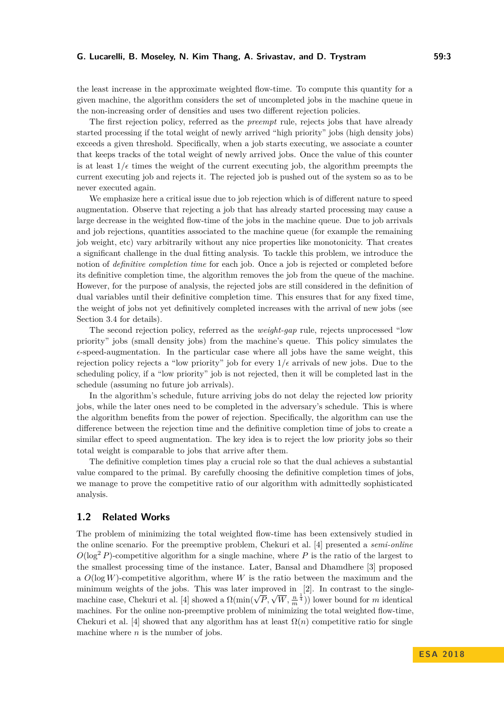#### **G. Lucarelli, B. Moseley, N. Kim Thang, A. Srivastav, and D. Trystram 59:3**

the least increase in the approximate weighted flow-time. To compute this quantity for a given machine, the algorithm considers the set of uncompleted jobs in the machine queue in the non-increasing order of densities and uses two different rejection policies.

The first rejection policy, referred as the *preempt* rule, rejects jobs that have already started processing if the total weight of newly arrived "high priority" jobs (high density jobs) exceeds a given threshold. Specifically, when a job starts executing, we associate a counter that keeps tracks of the total weight of newly arrived jobs. Once the value of this counter is at least  $1/\epsilon$  times the weight of the current executing job, the algorithm preempts the current executing job and rejects it. The rejected job is pushed out of the system so as to be never executed again.

We emphasize here a critical issue due to job rejection which is of different nature to speed augmentation. Observe that rejecting a job that has already started processing may cause a large decrease in the weighted flow-time of the jobs in the machine queue. Due to job arrivals and job rejections, quantities associated to the machine queue (for example the remaining job weight, etc) vary arbitrarily without any nice properties like monotonicity. That creates a significant challenge in the dual fitting analysis. To tackle this problem, we introduce the notion of *definitive completion time* for each job. Once a job is rejected or completed before its definitive completion time, the algorithm removes the job from the queue of the machine. However, for the purpose of analysis, the rejected jobs are still considered in the definition of dual variables until their definitive completion time. This ensures that for any fixed time, the weight of jobs not yet definitively completed increases with the arrival of new jobs (see Section [3.4](#page-7-0) for details).

The second rejection policy, referred as the *weight-gap* rule, rejects unprocessed "low priority" jobs (small density jobs) from the machine's queue. This policy simulates the  $\epsilon$ -speed-augmentation. In the particular case where all jobs have the same weight, this rejection policy rejects a "low priority" job for every  $1/\epsilon$  arrivals of new jobs. Due to the scheduling policy, if a "low priority" job is not rejected, then it will be completed last in the schedule (assuming no future job arrivals).

In the algorithm's schedule, future arriving jobs do not delay the rejected low priority jobs, while the later ones need to be completed in the adversary's schedule. This is where the algorithm benefits from the power of rejection. Specifically, the algorithm can use the difference between the rejection time and the definitive completion time of jobs to create a similar effect to speed augmentation. The key idea is to reject the low priority jobs so their total weight is comparable to jobs that arrive after them.

The definitive completion times play a crucial role so that the dual achieves a substantial value compared to the primal. By carefully choosing the definitive completion times of jobs, we manage to prove the competitive ratio of our algorithm with admittedly sophisticated analysis.

## **1.2 Related Works**

The problem of minimizing the total weighted flow-time has been extensively studied in the online scenario. For the preemptive problem, Chekuri et al. [\[4\]](#page-11-2) presented a *semi-online*  $O(\log^2 P)$ -competitive algorithm for a single machine, where P is the ratio of the largest to the smallest processing time of the instance. Later, Bansal and Dhamdhere [\[3\]](#page-11-8) proposed a *O*(log *W*)-competitive algorithm, where *W* is the ratio between the maximum and the minimum weights of the jobs. This was later improved in [\[2\]](#page-11-1). In contrast to the single-machine case, Chekuri et al. [\[4\]](#page-11-2) showed a  $\Omega(\text{min})$  $\sqrt{P}$ ,  $\sqrt{W}$ ,  $\frac{n}{m}$  $\frac{1}{4})$ ) lower bound for *m* identical machines. For the online non-preemptive problem of minimizing the total weighted flow-time, Chekuri et al. [\[4\]](#page-11-2) showed that any algorithm has at least  $\Omega(n)$  competitive ratio for single machine where *n* is the number of jobs.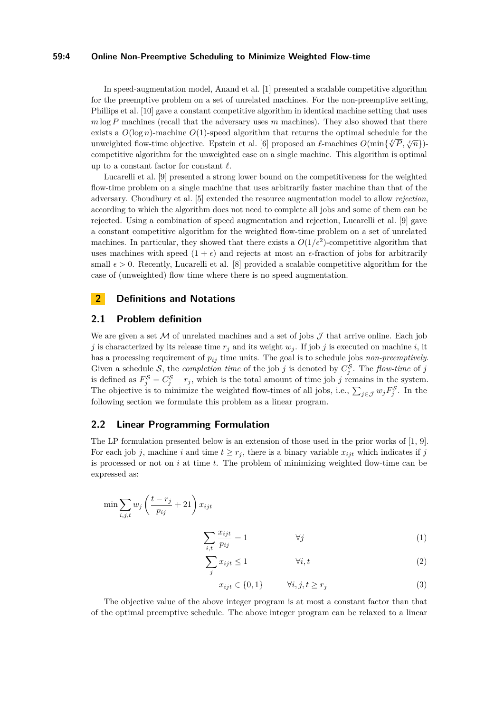## **59:4 Online Non-Preemptive Scheduling to Minimize Weighted Flow-time**

In speed-augmentation model, Anand et al. [\[1\]](#page-11-9) presented a scalable competitive algorithm for the preemptive problem on a set of unrelated machines. For the non-preemptive setting, Phillips et al. [\[10\]](#page-11-4) gave a constant competitive algorithm in identical machine setting that uses *m* log *P* machines (recall that the adversary uses *m* machines). They also showed that there exists a  $O(\log n)$ -machine  $O(1)$ -speed algorithm that returns the optimal schedule for the  $\alpha$  is a  $O(\log n)$ -macnine  $O(1)$ -speed algorithm that returns the optimal schedule for the unweighted flow-time objective. Epstein et al. [\[6\]](#page-11-10) proposed an *l*-machines  $O(\min{\{\sqrt{\overline{P}}, \sqrt{\overline{P}}\}})$ competitive algorithm for the unweighted case on a single machine. This algorithm is optimal up to a constant factor for constant  $\ell$ .

Lucarelli et al. [\[9\]](#page-11-5) presented a strong lower bound on the competitiveness for the weighted flow-time problem on a single machine that uses arbitrarily faster machine than that of the adversary. Choudhury et al. [\[5\]](#page-11-6) extended the resource augmentation model to allow *rejection*, according to which the algorithm does not need to complete all jobs and some of them can be rejected. Using a combination of speed augmentation and rejection, Lucarelli et al. [\[9\]](#page-11-5) gave a constant competitive algorithm for the weighted flow-time problem on a set of unrelated machines. In particular, they showed that there exists a  $O(1/\epsilon^2)$ -competitive algorithm that uses machines with speed  $(1 + \epsilon)$  and rejects at most an  $\epsilon$ -fraction of jobs for arbitrarily small  $\epsilon > 0$ . Recently, Lucarelli et al. [\[8\]](#page-11-7) provided a scalable competitive algorithm for the case of (unweighted) flow time where there is no speed augmentation.

# **2 Definitions and Notations**

# **2.1 Problem definition**

We are given a set M of unrelated machines and a set of jobs  $\mathcal J$  that arrive online. Each job *j* is characterized by its release time  $r_j$  and its weight  $w_j$ . If job *j* is executed on machine *i*, it has a processing requirement of *pij* time units. The goal is to schedule jobs *non-preemptively*. Given a schedule S, the *completion time* of the job *j* is denoted by  $C_j^{\mathcal{S}}$ . The *flow-time* of *j* is defined as  $F_j^{\mathcal{S}} = C_j^{\mathcal{S}} - r_j$ , which is the total amount of time job *j* remains in the system. The objective is to minimize the weighted flow-times of all jobs, i.e.,  $\sum_{j\in\mathcal{J}} w_j F_j^{\mathcal{S}}$ . In the following section we formulate this problem as a linear program.

## **2.2 Linear Programming Formulation**

The LP formulation presented below is an extension of those used in the prior works of [\[1,](#page-11-9) [9\]](#page-11-5). For each job *j*, machine *i* and time  $t \geq r_j$ , there is a binary variable  $x_{ijt}$  which indicates if *j* is processed or not on *i* at time *t*. The problem of minimizing weighted flow-time can be expressed as:

$$
\min \sum_{i,j,t} w_j \left( \frac{t - r_j}{p_{ij}} + 21 \right) x_{ijt}
$$

$$
\sum_{i,t} \frac{x_{ijt}}{p_{ij}} = 1 \qquad \qquad \forall j \tag{1}
$$

$$
\sum_{j} x_{ijt} \le 1 \qquad \qquad \forall i, t \tag{2}
$$

<span id="page-3-0"></span>
$$
x_{ijt} \in \{0, 1\} \qquad \forall i, j, t \ge r_j \tag{3}
$$

The objective value of the above integer program is at most a constant factor than that of the optimal preemptive schedule. The above integer program can be relaxed to a linear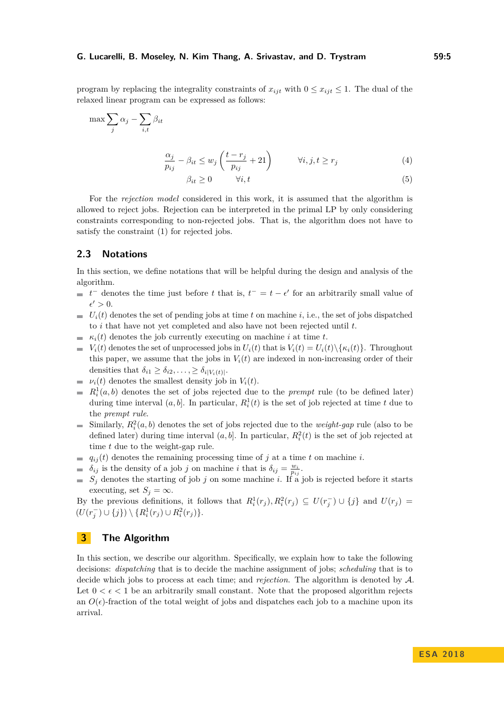program by replacing the integrality constraints of  $x_{iji}$  with  $0 \leq x_{iji} \leq 1$ . The dual of the relaxed linear program can be expressed as follows:

$$
\max \sum_{j} \alpha_{j} - \sum_{i,t} \beta_{it}
$$
\n
$$
\alpha_{j} \qquad \beta \qquad \text{and} \qquad \qquad \alpha_{j+1} \qquad \text{and} \qquad \qquad \alpha_{j+1} \qquad \text{and} \qquad \qquad \alpha_{j+1} \qquad \text{and} \qquad \qquad \alpha_{j+1} \qquad \text{and} \qquad \qquad \alpha_{j+1} \qquad \text{and} \qquad \qquad \alpha_{j+1} \qquad \text{and} \qquad \qquad \alpha_{j+1} \qquad \text{and} \qquad \qquad \alpha_{j+1} \qquad \text{and} \qquad \qquad \alpha_{j+1} \qquad \text{and} \qquad \qquad \alpha_{j+1} \qquad \text{and} \qquad \qquad \alpha_{j+1} \qquad \text{and} \qquad \qquad \alpha_{j+1} \qquad \text{and} \qquad \qquad \alpha_{j+1} \qquad \text{and} \qquad \qquad \alpha_{j+1} \qquad \text{and} \qquad \qquad \alpha_{j+1} \qquad \text{and} \qquad \qquad \alpha_{j+1} \qquad \text{and} \qquad \qquad \alpha_{j+1} \qquad \text{and} \qquad \qquad \alpha_{j+1} \qquad \text{and} \qquad \qquad \alpha_{j+1} \qquad \text{and} \qquad \qquad \alpha_{j+1} \qquad \text{and} \qquad \qquad \alpha_{j+1} \qquad \text{and} \qquad \qquad \alpha_{j+1} \qquad \text{and} \qquad \qquad \alpha_{j+1} \qquad \text{and} \qquad \qquad \alpha_{j+1} \qquad \text{and} \qquad \qquad \alpha_{j+1} \qquad \text{and} \qquad \qquad \alpha_{j+1} \qquad \text{and} \qquad \qquad \alpha_{j+1} \qquad \text{and} \qquad \qquad \alpha_{j+1} \qquad \text{and} \qquad \qquad \alpha_{j+1} \qquad \text{and} \qquad \qquad \alpha_{j+1} \qquad \text{and} \qquad \qquad \alpha_{j+1} \qquad \text{and} \qquad \qquad \alpha_{j+1} \qquad \text{and} \qquad \qquad \alpha_{j+1} \qquad \text{and} \qquad \qquad \alpha_{j+1} \qquad \
$$

$$
\frac{\alpha_j}{p_{ij}} - \beta_{it} \le w_j \left( \frac{t - r_j}{p_{ij}} + 21 \right) \qquad \forall i, j, t \ge r_j \tag{4}
$$

<span id="page-4-0"></span>
$$
\beta_{it} \ge 0 \qquad \forall i, t \tag{5}
$$

For the *rejection model* considered in this work, it is assumed that the algorithm is allowed to reject jobs. Rejection can be interpreted in the primal LP by only considering constraints corresponding to non-rejected jobs. That is, the algorithm does not have to satisfy the constraint [\(1\)](#page-3-0) for rejected jobs.

# **2.3 Notations**

In this section, we define notations that will be helpful during the design and analysis of the algorithm.

- $t^-$  denotes the time just before *t* that is,  $t^- = t \epsilon'$  for an arbitrarily small value of  $\epsilon' > 0.$
- $U_i(t)$  denotes the set of pending jobs at time *t* on machine *i*, i.e., the set of jobs dispatched to *i* that have not yet completed and also have not been rejected until *t*.
- $\kappa_i(t)$  denotes the job currently executing on machine *i* at time *t*.  $\mathbf{r}$
- $V_i(t)$  denotes the set of unprocessed jobs in  $U_i(t)$  that is  $V_i(t) = U_i(t) \setminus {\kappa_i(t)}$ . Throughout this paper, we assume that the jobs in  $V_i(t)$  are indexed in non-increasing order of their densities that  $\delta_{i1} \geq \delta_{i2}, \ldots, \geq \delta_{i|V_i(t)|}$ .
- $\nu_i(t)$  denotes the smallest density job in *V<sub>i</sub>*(*t*).
- $R_i^1(a, b)$  denotes the set of jobs rejected due to the *prempt* rule (to be defined later) during time interval  $(a, b]$ . In particular,  $R_i^1(t)$  is the set of job rejected at time  $t$  due to the *prempt rule*.
- Similarly,  $R_i^2(a, b)$  denotes the set of jobs rejected due to the *weight-gap* rule (also to be defined later) during time interval  $(a, b]$ . In particular,  $R_i^2(t)$  is the set of job rejected at time *t* due to the weight-gap rule.
- $q_{ij}(t)$  denotes the remaining processing time of *j* at a time *t* on machine *i*.
- $\delta_{ij}$  is the density of a job *j* on machine *i* that is  $\delta_{ij} = \frac{w_i}{p_{ij}}$ .
- $S_j$  denotes the starting of job *j* on some machine *i*. If a job is rejected before it starts executing, set  $S_j = \infty$ .
- By the previous definitions, it follows that  $R_i^1(r_j), R_i^2(r_j) \subseteq U(r_j^-) \cup \{j\}$  and  $U(r_j) =$  $(U(r_j^-) \cup \{j\}) \setminus \{R_i^1(r_j) \cup R_i^2(r_j)\}.$

# **3 The Algorithm**

In this section, we describe our algorithm. Specifically, we explain how to take the following decisions: *dispatching* that is to decide the machine assignment of jobs; *scheduling* that is to decide which jobs to process at each time; and *rejection*. The algorithm is denoted by A. Let  $0 < \epsilon < 1$  be an arbitrarily small constant. Note that the proposed algorithm rejects an  $O(\epsilon)$ -fraction of the total weight of jobs and dispatches each job to a machine upon its arrival.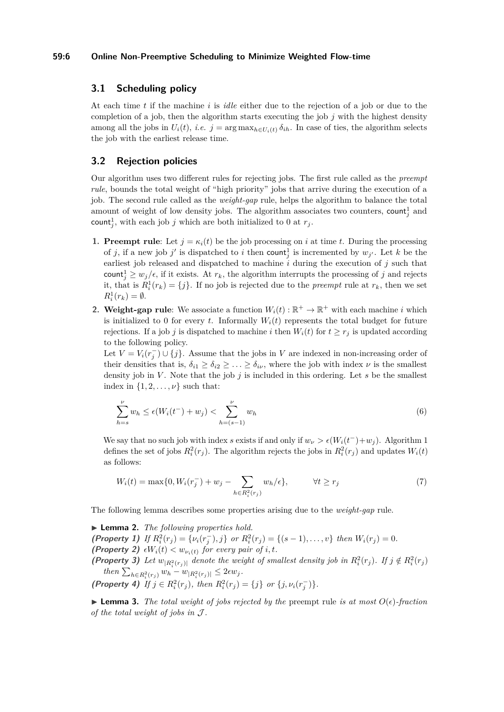#### **59:6 Online Non-Preemptive Scheduling to Minimize Weighted Flow-time**

# **3.1 Scheduling policy**

At each time *t* if the machine *i* is *idle* either due to the rejection of a job or due to the completion of a job, then the algorithm starts executing the job *j* with the highest density among all the jobs in  $U_i(t)$ , *i.e.*  $j = \arg \max_{h \in U_i(t)} \delta_{ih}$ . In case of ties, the algorithm selects the job with the earliest release time.

# **3.2 Rejection policies**

Our algorithm uses two different rules for rejecting jobs. The first rule called as the *preempt rule*, bounds the total weight of "high priority" jobs that arrive during the execution of a job. The second rule called as the *weight-gap* rule, helps the algorithm to balance the total amount of weight of low density jobs. The algorithm associates two counters,  $\text{count}_{j}^1$  and count<sup>1</sup>/<sub>j</sub>, with each job *j* which are both initialized to 0 at  $r_j$ .

- **1. Preempt rule**: Let  $j = \kappa_i(t)$  be the job processing on *i* at time *t*. During the processing of *j*, if a new job *j*' is dispatched to *i* then count<sup>1</sup><sub>*j*</sub> is incremented by  $w_{j'}$ . Let *k* be the earliest job released and dispatched to machine *i* during the execution of *j* such that count $j \geq w_j/\epsilon$ , if it exists. At  $r_k$ , the algorithm interrupts the processing of *j* and rejects it, that is  $R_i^1(r_k) = \{j\}$ . If no job is rejected due to the *preempt* rule at  $r_k$ , then we set  $R_i^1(r_k) = \emptyset.$
- **2. Weight-gap rule:** We associate a function  $W_i(t): \mathbb{R}^+ \to \mathbb{R}^+$  with each machine *i* which is initialized to 0 for every *t*. Informally  $W_i(t)$  represents the total budget for future rejections. If a job *j* is dispatched to machine *i* then  $W_i(t)$  for  $t \geq r_i$  is updated according to the following policy.

Let  $V = V_i(r_j^-) \cup \{j\}$ . Assume that the jobs in *V* are indexed in non-increasing order of their densities that is,  $\delta_{i1} \geq \delta_{i2} \geq \ldots \geq \delta_{i\nu}$ , where the job with index  $\nu$  is the smallest density job in *V* . Note that the job *j* is included in this ordering. Let *s* be the smallest index in  $\{1, 2, \ldots, \nu\}$  such that:

$$
\sum_{h=s}^{\nu} w_h \le \epsilon (W_i(t^-) + w_j) < \sum_{h=(s-1)}^{\nu} w_h \tag{6}
$$

We say that no such job with index *s* exists if and only if  $w_{\nu} > \epsilon(W_i(t^-) + w_j)$ . Algorithm [1](#page-6-0) defines the set of jobs  $R_i^2(r_j)$ . The algorithm rejects the jobs in  $R_i^2(r_j)$  and updates  $W_i(t)$ as follows:

$$
W_i(t) = \max\{0, W_i(r_j^-) + w_j - \sum_{h \in R_i^2(r_j)} w_h / \epsilon\}, \qquad \forall t \ge r_j
$$
 (7)

The following lemma describes some properties arising due to the *weight-gap* rule.

▶ **Lemma 2.** *The following properties hold.* 

- **(Property 1)** If  $R_i^2(r_j) = \{v_i(r_j^-, j)\}$  or  $R_i^2(r_j) = \{(s-1), \ldots, v\}$  then  $W_i(r_j) = 0$ .
- **(Property 2)**  $\epsilon W_i(t) < w_{\nu_i(t)}$  for every pair of i, t.

**(Property 3)** Let  $w_{R_i^2(r_j)}$  denote the weight of smallest density job in  $R_i^2(r_j)$ . If  $j \notin R_i^2(r_j)$  $then \sum_{h \in R_i^2(r_j)} w_h - w_{|R_i^2(r_j)|} \leq 2\epsilon w_j.$ 

**(Property 4)** If  $j \in R_i^2(r_j)$ , then  $R_i^2(r_j) = \{j\}$  or  $\{j, \nu_i(r_j^-)\}$ .

**I Lemma 3.** The total weight of jobs rejected by the preempt rule is at most  $O(\epsilon)$ -fraction *of the total weight of jobs in* J *.*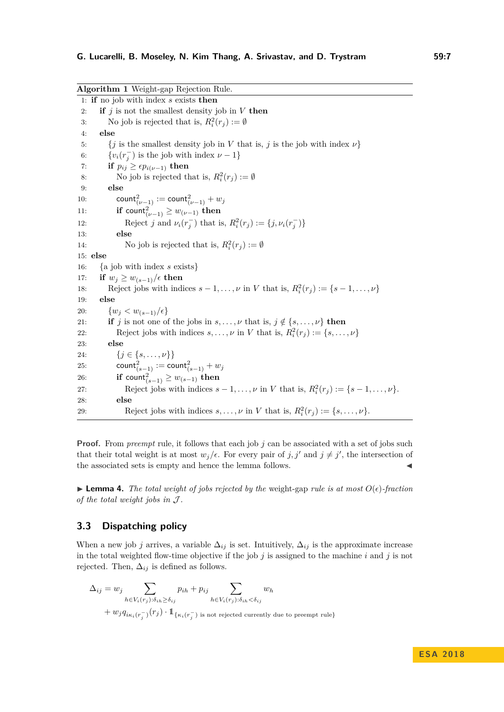<span id="page-6-1"></span><span id="page-6-0"></span>

| Algorithm 1 Weight-gap Rejection Rule. |                                                                                             |
|----------------------------------------|---------------------------------------------------------------------------------------------|
|                                        | 1: if no job with index $s$ exists then                                                     |
| 2:                                     | if j is not the smallest density job in $V$ then                                            |
| 3:                                     | No job is rejected that is, $R_i^2(r_j) := \emptyset$                                       |
| 4:                                     | else                                                                                        |
| 5:                                     | {j is the smallest density job in V that is, j is the job with index $\nu$ }                |
| 6:                                     | $\{v_i(r_i^{-})$ is the job with index $\nu-1\}$                                            |
| 7:                                     | if $p_{ij} \geq \epsilon p_{i(\nu-1)}$ then                                                 |
| 8:                                     | No job is rejected that is, $R_i^2(r_j) := \emptyset$                                       |
| 9:                                     | $_{\rm else}$                                                                               |
| 10:                                    | count $_{(\nu-1)}^2 := \text{count}_{(\nu-1)}^2 + w_j$                                      |
| 11:                                    | if count $_{(\nu-1)}^2 \geq w_{(\nu-1)}$ then                                               |
| 12:                                    | Reject $j$ and $\nu_i(r_j^-)$ that is, $R_i^2(r_j):=\{j, \nu_i(r_i^-)\}$                    |
| 13:                                    | else                                                                                        |
| 14:                                    | No job is rejected that is, $R_i^2(r_j) := \emptyset$                                       |
|                                        | $15:$ else                                                                                  |
| 16:                                    | $\{a\}$ job with index s exists $\}$                                                        |
| 17:                                    | if $w_j \geq w_{(s-1)}/\epsilon$ then                                                       |
| 18:                                    | Reject jobs with indices $s-1,\ldots,\nu$ in V that is, $R_i^2(r_j) := \{s-1,\ldots,\nu\}$  |
| 19:                                    | else                                                                                        |
| 20:                                    | $\{w_i < w_{(s-1)}/\epsilon\}$                                                              |
| 21:                                    | <b>if</b> j is not one of the jobs in $s, , \nu$ that is, $j \notin \{s, , \nu\}$ then      |
| 22:                                    | Reject jobs with indices $s, \ldots, \nu$ in V that is, $R_i^2(r_j) := \{s, \ldots, \nu\}$  |
| 23:                                    | else                                                                                        |
| 24:                                    | $\{j \in \{s, \ldots, \nu\}\}\$                                                             |
| 25:                                    | $count_{(s-1)}^2 := count_{(s-1)}^2 + w_j$                                                  |
| 26:                                    | if count $_{(s-1)}^2 \geq w_{(s-1)}$ then                                                   |
| 27:                                    | Reject jobs with indices $s-1,\ldots,\nu$ in V that is, $R_i^2(r_j) := \{s-1,\ldots,\nu\}.$ |
| 28:                                    | else                                                                                        |
| 29:                                    | Reject jobs with indices $s, \ldots, \nu$ in V that is, $R_i^2(r_j) := \{s, \ldots, \nu\}.$ |

<span id="page-6-2"></span>**Proof.** From *preempt* rule, it follows that each job *j* can be associated with a set of jobs such that their total weight is at most  $w_j/\epsilon$ . For every pair of  $j, j'$  and  $j \neq j'$ , the intersection of the associated sets is empty and hence the lemma follows.  $\blacktriangleleft$ 

 $\blacktriangleright$  **Lemma 4.** *The total weight of jobs rejected by the weight-gap rule is at most*  $O(\epsilon)$ -fraction *of the total weight jobs in* J *.*

## **3.3 Dispatching policy**

When a new job *j* arrives, a variable  $\Delta_{ij}$  is set. Intuitively,  $\Delta_{ij}$  is the approximate increase in the total weighted flow-time objective if the job *j* is assigned to the machine *i* and *j* is not rejected. Then,  $\Delta_{ij}$  is defined as follows.

$$
\Delta_{ij} = w_j \sum_{h \in V_i(r_j) : \delta_{ih} \ge \delta_{ij}} p_{ih} + p_{ij} \sum_{h \in V_i(r_j) : \delta_{ih} < \delta_{ij}} w_h
$$
  
+ 
$$
w_j q_{i\kappa_i(r_j^-)}(r_j) \cdot 1_{\{\kappa_i(r_j^-)\text{ is not rejected currently due to preempt rule}\}}
$$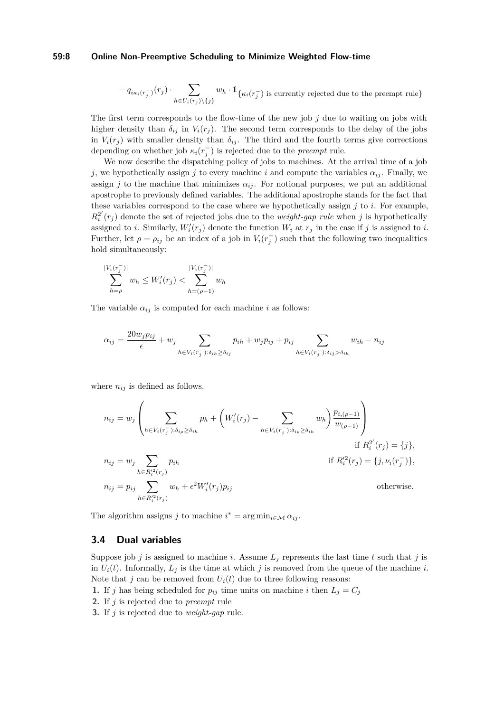## **59:8 Online Non-Preemptive Scheduling to Minimize Weighted Flow-time**

$$
- q_{i\kappa_i(r_j^-)}(r_j) \cdot \sum_{h \in U_i(r_j) \setminus \{j\}} w_h \cdot 1\!\!1_{\{\kappa_i(r_j^-)\text{ is currently rejected due to the preempt rule}\}}
$$

The first term corresponds to the flow-time of the new job *j* due to waiting on jobs with higher density than  $\delta_{ij}$  in  $V_i(r_j)$ . The second term corresponds to the delay of the jobs in  $V_i(r_j)$  with smaller density than  $\delta_{ij}$ . The third and the fourth terms give corrections depending on whether job  $\kappa_i(r_j^-)$  is rejected due to the *preempt* rule.

We now describe the dispatching policy of jobs to machines. At the arrival time of a job *j*, we hypothetically assign *j* to every machine *i* and compute the variables  $\alpha_{ij}$ . Finally, we assign *j* to the machine that minimizes  $\alpha_{ij}$ . For notional purposes, we put an additional apostrophe to previously defined variables. The additional apostrophe stands for the fact that these variables correspond to the case where we hypothetically assign *j* to *i*. For example,  $R_i^{2'}(r_j)$  denote the set of rejected jobs due to the *weight-gap rule* when *j* is hypothetically assigned to *i*. Similarly,  $W_i'(r_j)$  denote the function  $W_i$  at  $r_j$  in the case if *j* is assigned to *i*. Further, let  $\rho = \rho_{ij}$  be an index of a job in  $V_i(r_j^-)$  such that the following two inequalities hold simultaneously:

$$
\sum_{h=\rho}^{|V_i(r_j^-)|} w_h \le W_i'(r_j) < \sum_{h=(\rho-1)}^{|V_i(r_j^-)|} w_h
$$

The variable  $\alpha_{ij}$  is computed for each machine *i* as follows:

$$
\alpha_{ij} = \frac{20w_j p_{ij}}{\epsilon} + w_j \sum_{h \in V_i(r_j^-):\delta_{ih} \ge \delta_{ij}} p_{ih} + w_j p_{ij} + p_{ij} \sum_{h \in V_i(r_j^-):\delta_{ij} > \delta_{ih}} w_{ih} - n_{ij}
$$

where  $n_{ij}$  is defined as follows.

$$
n_{ij} = w_j \left( \sum_{h \in V_i(r_j^-): \delta_{i\rho} \ge \delta_{ih}} p_h + \left( W'_i(r_j) - \sum_{h \in V_i(r_j^-): \delta_{i\rho} \ge \delta_{ih}} w_h \right) \frac{p_{i,(\rho-1)}}{w_{(\rho-1)}} \right)
$$
  
\n
$$
n_{ij} = w_j \sum_{h \in R_i'^2(r_j)} p_{ih}
$$
  
\n
$$
n_{ij} = p_{ij} \sum_{h \in R_i'^2(r_j)} w_h + \epsilon^2 W'_i(r_j) p_{ij}
$$
  
\n
$$
n_{ij} = p_{ij} \sum_{h \in R_i'^2(r_j)} w_h + \epsilon^2 W'_i(r_j) p_{ij}
$$
  
\notherwise.

The algorithm assigns *j* to machine  $i^* = \arg \min_{i \in \mathcal{M}} \alpha_{ij}$ .

## <span id="page-7-0"></span>**3.4 Dual variables**

Suppose job  $j$  is assigned to machine  $i$ . Assume  $L_j$  represents the last time  $t$  such that  $j$  is in  $U_i(t)$ . Informally,  $L_j$  is the time at which *j* is removed from the queue of the machine *i*. Note that  $j$  can be removed from  $U_i(t)$  due to three following reasons:

<span id="page-7-3"></span>**1.** If *j* has being scheduled for  $p_{ij}$  time units on machine *i* then  $L_i = C_j$ 

- <span id="page-7-1"></span>**2.** If *j* is rejected due to *preempt* rule
- <span id="page-7-2"></span>**3.** If *j* is rejected due to *weight-gap* rule.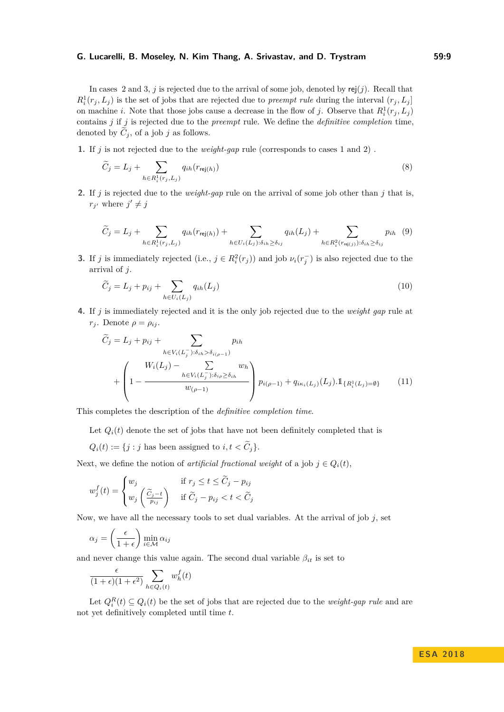#### **G. Lucarelli, B. Moseley, N. Kim Thang, A. Srivastav, and D. Trystram 59:9**

In cases [2](#page-7-1) and [3,](#page-7-2) *j* is rejected due to the arrival of some job, denoted by  $\text{rej}(j)$ . Recall that  $R_i^1(r_j, L_j)$  is the set of jobs that are rejected due to *preempt rule* during the interval  $(r_j, L_j)$ on machine *i*. Note that those jobs cause a decrease in the flow of *j*. Observe that  $R_i^1(r_j, L_j)$ contains *j* if *j* is rejected due to the *preempt* rule. We define the *definitive completion* time, denoted by  $C_j$ , of a job  $j$  as follows.

**1.** If *j* is not rejected due to the *weight-gap* rule (corresponds to cases [1](#page-7-3) and [2\)](#page-7-1) .

$$
\widetilde{C}_j = L_j + \sum_{h \in R_i^1(r_j, L_j)} q_{ih}(r_{\text{rej}(h)})
$$
\n(8)

**2.** If *j* is rejected due to the *weight-gap* rule on the arrival of some job other than *j* that is,  $r_{j'}$  where  $j' \neq j$ 

$$
\widetilde{C}_j = L_j + \sum_{h \in R_i^1(r_j, L_j)} q_{ih}(r_{\text{rej}(h)}) + \sum_{h \in U_i(L_j): \delta_{ih} \ge \delta_{ij}} q_{ih}(L_j) + \sum_{h \in R_i^2(r_{\text{rej}(j)}) : \delta_{ih} \ge \delta_{ij}} p_{ih}
$$
(9)

**3.** If *j* is immediately rejected (i.e.,  $j \in R_i^2(r_j)$ ) and job  $\nu_i(r_j^-)$  is also rejected due to the arrival of *j*.

$$
\widetilde{C}_j = L_j + p_{ij} + \sum_{h \in U_i(L_j)} q_{ih}(L_j) \tag{10}
$$

**4.** If *j* is immediately rejected and it is the only job rejected due to the *weight gap* rule at  $r_j$ . Denote  $\rho = \rho_{ij}$ .

$$
\widetilde{C}_{j} = L_{j} + p_{ij} + \sum_{h \in V_{i}(L_{j}^{-}) : \delta_{ih} > \delta_{i(\rho-1)}} p_{ih}
$$
\n
$$
+ \left(1 - \frac{W_{i}(L_{j}) - \sum_{h \in V_{i}(L_{j}^{-}) : \delta_{ip} \ge \delta_{ih}} w_{h}}{w_{(\rho-1)}}\right) p_{i(\rho-1)} + q_{i\kappa_{i}(L_{j})}(L_{j}). \mathbb{1}_{\{R_{i}^{1}(L_{j}) = \emptyset\}} \tag{11}
$$

This completes the description of the *definitive completion time*.

Let  $Q_i(t)$  denote the set of jobs that have not been definitely completed that is

 $Q_i(t) := \{j : j \text{ has been assigned to } i, t < \tilde{C}_j\}.$ 

Next, we define the notion of *artificial fractional weight* of a job  $j \in Q_i(t)$ ,

$$
w_j^f(t) = \begin{cases} w_j & \text{if } r_j \le t \le \widetilde{C}_j - p_{ij} \\ w_j \left( \frac{\widetilde{C}_j - t}{p_{ij}} \right) & \text{if } \widetilde{C}_j - p_{ij} < t < \widetilde{C}_j \end{cases}
$$

Now, we have all the necessary tools to set dual variables. At the arrival of job *j*, set

$$
\alpha_j = \left(\frac{\epsilon}{1+\epsilon}\right) \min_{i \in \mathcal{M}} \alpha_{ij}
$$

and never change this value again. The second dual variable  $\beta_{it}$  is set to

$$
\frac{\epsilon}{(1+\epsilon)(1+\epsilon^2)}\sum_{h\in Q_i(t)}w_h^f(t)
$$

Let  $Q_i^R(t) \subseteq Q_i(t)$  be the set of jobs that are rejected due to the *weight-gap rule* and are not yet definitively completed until time *t*.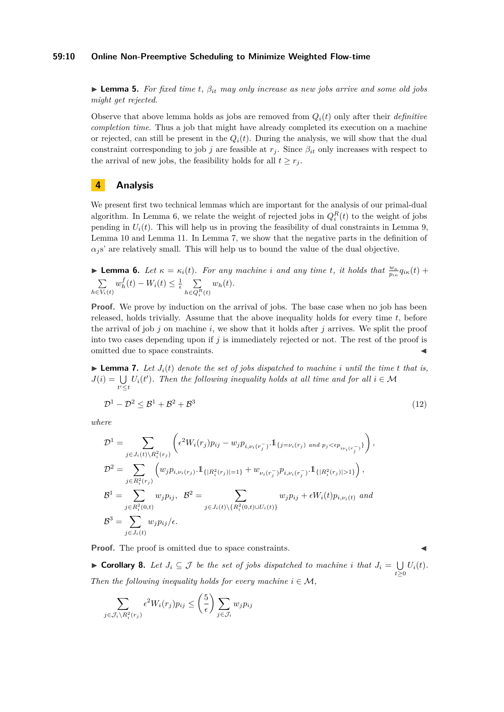#### **59:10 Online Non-Preemptive Scheduling to Minimize Weighted Flow-time**

**Lemma 5.** For fixed time *t*,  $\beta_{it}$  may only increase as new jobs arrive and some old jobs *might get rejected.*

Observe that above lemma holds as jobs are removed from  $Q_i(t)$  only after their *definitive completion time*. Thus a job that might have already completed its execution on a machine or rejected, can still be present in the  $Q_i(t)$ . During the analysis, we will show that the dual constraint corresponding to job *j* are feasible at  $r_j$ . Since  $\beta_{it}$  only increases with respect to the arrival of new jobs, the feasibility holds for all  $t \geq r_j$ .

# **4 Analysis**

We present first two technical lemmas which are important for the analysis of our primal-dual algorithm. In Lemma [6,](#page-9-0) we relate the weight of rejected jobs in  $Q_i^R(t)$  to the weight of jobs pending in  $U_i(t)$ . This will help us in proving the feasibility of dual constraints in Lemma [9,](#page-11-11) Lemma [10](#page-11-12) and Lemma [11.](#page-11-13) In Lemma [7,](#page-9-1) we show that the negative parts in the definition of  $\alpha_j$ <sup>g</sup> are relatively small. This will help us to bound the value of the dual objective.

<span id="page-9-0"></span>**Lemma 6.** Let 
$$
\kappa = \kappa_i(t)
$$
. For any machine *i* and any time *t*, it holds that  $\frac{w_{\kappa}}{p_{i\kappa}}q_{i\kappa}(t) +$   

$$
\sum_{h \in V_i(t)} w_h^f(t) - W_i(t) \leq \frac{1}{\epsilon} \sum_{h \in Q_i^R(t)} w_h(t).
$$

**Proof.** We prove by induction on the arrival of jobs. The base case when no job has been released, holds trivially. Assume that the above inequality holds for every time *t*, before the arrival of job *j* on machine *i*, we show that it holds after *j* arrives. We split the proof into two cases depending upon if *j* is immediately rejected or not. The rest of the proof is omitted due to space constraints.

<span id="page-9-1"></span>**Lemma 7.** Let  $J_i(t)$  denote the set of jobs dispatched to machine *i* until the time *t* that is,  $J(i) = \bigcup$  $\bigcup_{t' \leq t} U_i(t')$ . Then the following inequality holds at all time and for all  $i \in \mathcal{M}$ 

$$
\mathcal{D}^1 - \mathcal{D}^2 \le \mathcal{B}^1 + \mathcal{B}^2 + \mathcal{B}^3 \tag{12}
$$

*where*

$$
\mathcal{D}^{1} = \sum_{j \in J_{i}(t) \backslash R_{i}^{2}(r_{j})} \left( \epsilon^{2} W_{i}(r_{j}) p_{ij} - w_{j} p_{i, \nu_{i}(r_{j}^{-})} \cdot 1_{\{j = \nu_{i}(r_{j}) \text{ and } p_{j} < \epsilon p_{i \nu_{i}(r_{j}^{-})}\}} \right),
$$
\n
$$
\mathcal{D}^{2} = \sum_{j \in R_{i}^{2}(r_{j})} \left( w_{j} p_{i, \nu_{i}(r_{j})} \cdot 1_{\{|R_{i}^{2}(r_{j})| = 1\}} + w_{\nu_{i}(r_{j}^{-})} p_{i, \nu_{i}(r_{j}^{-})} \cdot 1_{\{|R_{i}^{2}(r_{j})| > 1\}} \right),
$$
\n
$$
\mathcal{B}^{1} = \sum_{j \in R_{i}^{2}(0, t)} w_{j} p_{ij}, \quad \mathcal{B}^{2} = \sum_{j \in J_{i}(t) \backslash \{R_{i}^{2}(0, t) \cup U_{i}(t)\}} w_{j} p_{ij} + \epsilon W_{i}(t) p_{i, \nu_{i}(t)} \text{ and}
$$
\n
$$
\mathcal{B}^{3} = \sum_{j \in J_{i}(t)} w_{j} p_{ij} / \epsilon.
$$

**Proof.** The proof is omitted due to space constraints.

▶ Corollary 8. Let  $J_i \subseteq \mathcal{J}$  be the set of jobs dispatched to machine *i* that  $J_i = \bigcup$  $\bigcup_{t\geq 0} U_i(t)$ . *Then the following inequality holds for every machine*  $i \in \mathcal{M}$ ,

$$
\sum_{j \in \mathcal{J}_i \setminus R_i^2(r_j)} \epsilon^2 W_i(r_j) p_{ij} \le \left(\frac{5}{\epsilon}\right) \sum_{j \in \mathcal{J}_i} w_j p_{ij}
$$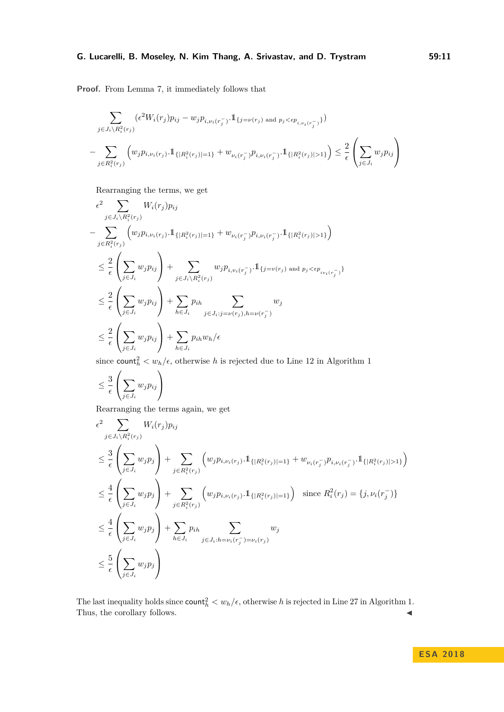## **G. Lucarelli, B. Moseley, N. Kim Thang, A. Srivastav, and D. Trystram 59:11**

**Proof.** From Lemma [7,](#page-9-1) it immediately follows that

$$
\sum_{j \in J_i \setminus R_i^2(r_j)} (\epsilon^2 W_i(r_j) p_{ij} - w_j p_{i, \nu_i(r_j^-)} \cdot \mathbb{1}_{\{j = \nu(r_j) \text{ and } p_j < \epsilon p_{i, \nu_i(r_j^-)}\}})
$$
\n
$$
- \sum_{j \in R_i^2(r_j)} \left( w_j p_{i, \nu_i(r_j)} \cdot \mathbb{1}_{\{|R_i^2(r_j)|=1\}} + w_{\nu_i(r_j^-)} p_{i, \nu_i(r_j^-)} \cdot \mathbb{1}_{\{|R_i^2(r_j)|>1\}} \right) \leq \frac{2}{\epsilon} \left( \sum_{j \in J_i} w_j p_{ij} \right)
$$

Rearranging the terms, we get

$$
\epsilon^2 \sum_{j \in J_i \backslash R_i^2(r_j)} W_i(r_j) p_{ij}
$$
\n
$$
- \sum_{j \in R_i^2(r_j)} \left( w_j p_{i, \nu_i(r_j)} . \mathbb{1}_{\{|R_i^2(r_j)|=1\}} + w_{\nu_i(r_j^-)} p_{i, \nu_i(r_j^-)} . \mathbb{1}_{\{|R_i^2(r_j)|>1\}} \right)
$$
\n
$$
\leq \frac{2}{\epsilon} \left( \sum_{j \in J_i} w_j p_{ij} \right) + \sum_{j \in J_i \backslash R_i^2(r_j)} w_j p_{i, v_i(r_j^-)} . \mathbb{1}_{\{j=v(r_j) \text{ and } p_j < \epsilon p_{i v_i(r_j^-)}\}}
$$
\n
$$
\leq \frac{2}{\epsilon} \left( \sum_{j \in J_i} w_j p_{ij} \right) + \sum_{h \in J_i} p_{ih} \sum_{j \in J_i : j=v(r_j), h=v(r_j^-)} w_j
$$
\n
$$
\leq \frac{2}{\epsilon} \left( \sum_{j \in J_i} w_j p_{ij} \right) + \sum_{h \in J_i} p_{ih} w_h / \epsilon
$$

since count $h^2 < w_h / \epsilon$ , otherwise *h* is rejected due to Line [12](#page-6-1) in Algorithm [1](#page-6-0)

$$
\leq \frac{3}{\epsilon} \left( \sum_{j \in J_i} w_j p_{ij} \right)
$$

Rearranging the terms again, we get

$$
\epsilon^{2} \sum_{j \in J_{i} \backslash R_{i}^{2}(r_{j})} W_{i}(r_{j}) p_{ij}
$$
\n
$$
\leq \frac{3}{\epsilon} \left( \sum_{j \in J_{i}} w_{j} p_{j} \right) + \sum_{j \in R_{i}^{2}(r_{j})} \left( w_{j} p_{i, \nu_{i}(r_{j})} . \mathbb{1}_{\{|R_{i}^{2}(r_{j})| = 1\}} + w_{\nu_{i}(r_{j}^{-})} p_{i, \nu_{i}(r_{j}^{-})} . \mathbb{1}_{\{|R_{i}^{2}(r_{j})| > 1\}} \right)
$$
\n
$$
\leq \frac{4}{\epsilon} \left( \sum_{j \in J_{i}} w_{j} p_{j} \right) + \sum_{j \in R_{i}^{2}(r_{j})} \left( w_{j} p_{i, \nu_{i}(r_{j})} . \mathbb{1}_{\{|R_{i}^{2}(r_{j})| = 1\}} \right) \text{ since } R_{i}^{2}(r_{j}) = \{j, \nu_{i}(r_{j}^{-})\}
$$
\n
$$
\leq \frac{4}{\epsilon} \left( \sum_{j \in J_{i}} w_{j} p_{j} \right) + \sum_{h \in J_{i}} p_{ih} \sum_{j \in J_{i}: h = \nu_{i}(r_{j}^{-}) = \nu_{i}(r_{j})} w_{j}
$$
\n
$$
\leq \frac{5}{\epsilon} \left( \sum_{j \in J_{i}} w_{j} p_{j} \right)
$$

The last inequality holds since  $\text{count}_h^2 < w_h/\epsilon$ , otherwise *h* is rejected in Line [27](#page-6-2) in Algorithm [1.](#page-6-0) Thus, the corollary follows.  $\blacktriangleleft$ 

## **E S A 2 0 1 8**